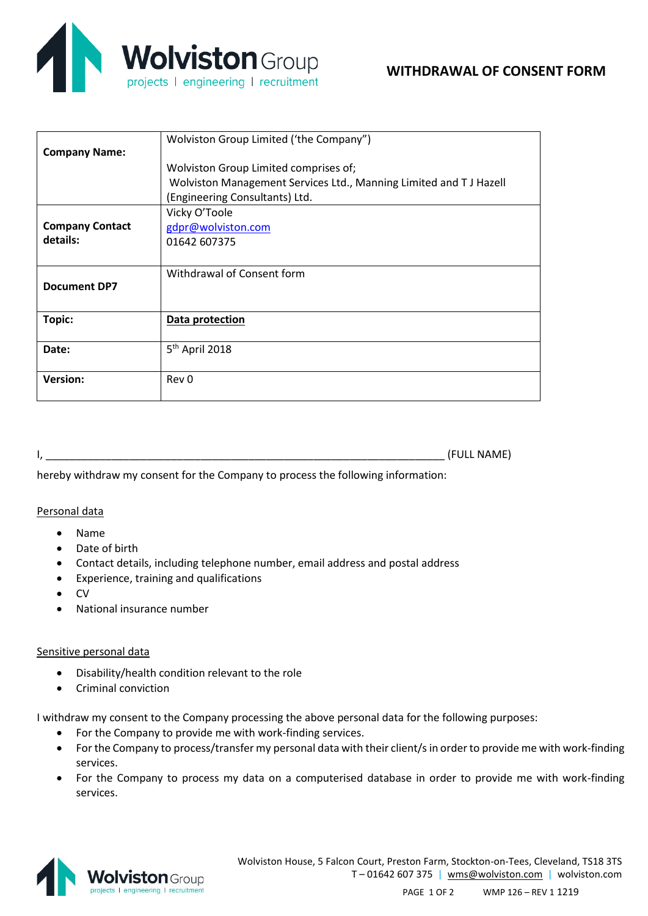

|                        | Wolviston Group Limited ('the Company")                           |
|------------------------|-------------------------------------------------------------------|
| <b>Company Name:</b>   |                                                                   |
|                        | Wolviston Group Limited comprises of;                             |
|                        | Wolviston Management Services Ltd., Manning Limited and TJ Hazell |
|                        | (Engineering Consultants) Ltd.                                    |
|                        | Vicky O'Toole                                                     |
| <b>Company Contact</b> | gdpr@wolviston.com                                                |
| details:               | 01642 607375                                                      |
|                        |                                                                   |
|                        | Withdrawal of Consent form                                        |
| <b>Document DP7</b>    |                                                                   |
|                        |                                                                   |
| Topic:                 | Data protection                                                   |
|                        |                                                                   |
| Date:                  | 5 <sup>th</sup> April 2018                                        |
|                        |                                                                   |
| <b>Version:</b>        | Rev 0                                                             |
|                        |                                                                   |

I, \_\_\_\_\_\_\_\_\_\_\_\_\_\_\_\_\_\_\_\_\_\_\_\_\_\_\_\_\_\_\_\_\_\_\_\_\_\_\_\_\_\_\_\_\_\_\_\_\_\_\_\_\_\_\_\_\_\_\_\_\_\_\_\_\_\_\_ (FULL NAME)

hereby withdraw my consent for the Company to process the following information:

## Personal data

- Name
- Date of birth
- Contact details, including telephone number, email address and postal address
- Experience, training and qualifications
- CV
- National insurance number

## Sensitive personal data

- Disability/health condition relevant to the role
- Criminal conviction

I withdraw my consent to the Company processing the above personal data for the following purposes:

- For the Company to provide me with work-finding services.
- For the Company to process/transfer my personal data with their client/sin order to provide me with work-finding services.
- For the Company to process my data on a computerised database in order to provide me with work-finding services.